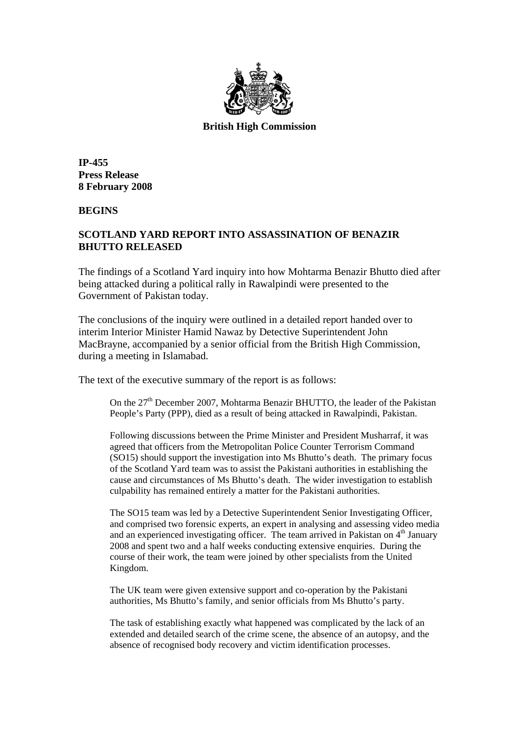

**British High Commission** 

**IP-455 Press Release 8 February 2008** 

## **BEGINS**

# **SCOTLAND YARD REPORT INTO ASSASSINATION OF BENAZIR BHUTTO RELEASED**

The findings of a Scotland Yard inquiry into how Mohtarma Benazir Bhutto died after being attacked during a political rally in Rawalpindi were presented to the Government of Pakistan today.

The conclusions of the inquiry were outlined in a detailed report handed over to interim Interior Minister Hamid Nawaz by Detective Superintendent John MacBrayne, accompanied by a senior official from the British High Commission, during a meeting in Islamabad.

The text of the executive summary of the report is as follows:

On the 27<sup>th</sup> December 2007, Mohtarma Benazir BHUTTO, the leader of the Pakistan People's Party (PPP), died as a result of being attacked in Rawalpindi, Pakistan.

Following discussions between the Prime Minister and President Musharraf, it was agreed that officers from the Metropolitan Police Counter Terrorism Command (SO15) should support the investigation into Ms Bhutto's death. The primary focus of the Scotland Yard team was to assist the Pakistani authorities in establishing the cause and circumstances of Ms Bhutto's death. The wider investigation to establish culpability has remained entirely a matter for the Pakistani authorities.

The SO15 team was led by a Detective Superintendent Senior Investigating Officer, and comprised two forensic experts, an expert in analysing and assessing video media and an experienced investigating officer. The team arrived in Pakistan on  $4<sup>th</sup>$  January 2008 and spent two and a half weeks conducting extensive enquiries. During the course of their work, the team were joined by other specialists from the United Kingdom.

The UK team were given extensive support and co-operation by the Pakistani authorities, Ms Bhutto's family, and senior officials from Ms Bhutto's party.

The task of establishing exactly what happened was complicated by the lack of an extended and detailed search of the crime scene, the absence of an autopsy, and the absence of recognised body recovery and victim identification processes.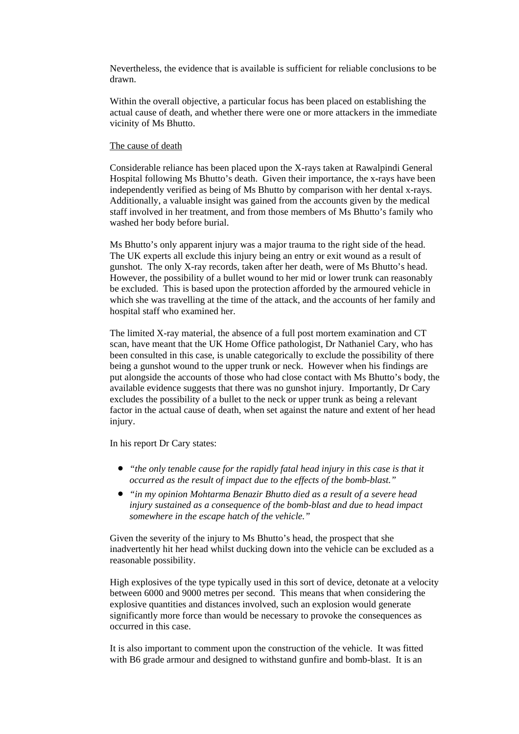Nevertheless, the evidence that is available is sufficient for reliable conclusions to be drawn.

Within the overall objective, a particular focus has been placed on establishing the actual cause of death, and whether there were one or more attackers in the immediate vicinity of Ms Bhutto.

#### The cause of death

Considerable reliance has been placed upon the X-rays taken at Rawalpindi General Hospital following Ms Bhutto's death. Given their importance, the x-rays have been independently verified as being of Ms Bhutto by comparison with her dental x-rays. Additionally, a valuable insight was gained from the accounts given by the medical staff involved in her treatment, and from those members of Ms Bhutto's family who washed her body before burial.

Ms Bhutto's only apparent injury was a major trauma to the right side of the head. The UK experts all exclude this injury being an entry or exit wound as a result of gunshot. The only X-ray records, taken after her death, were of Ms Bhutto's head. However, the possibility of a bullet wound to her mid or lower trunk can reasonably be excluded. This is based upon the protection afforded by the armoured vehicle in which she was travelling at the time of the attack, and the accounts of her family and hospital staff who examined her.

The limited X-ray material, the absence of a full post mortem examination and CT scan, have meant that the UK Home Office pathologist, Dr Nathaniel Cary, who has been consulted in this case, is unable categorically to exclude the possibility of there being a gunshot wound to the upper trunk or neck. However when his findings are put alongside the accounts of those who had close contact with Ms Bhutto's body, the available evidence suggests that there was no gunshot injury. Importantly, Dr Cary excludes the possibility of a bullet to the neck or upper trunk as being a relevant factor in the actual cause of death, when set against the nature and extent of her head injury.

In his report Dr Cary states:

- "the only tenable cause for the rapidly fatal head injury in this case is that it *occurred as the result of impact due to the effects of the bomb-blast."*
- *"in my opinion Mohtarma Benazir Bhutto died as a result of a severe head injury sustained as a consequence of the bomb-blast and due to head impact somewhere in the escape hatch of the vehicle."*

Given the severity of the injury to Ms Bhutto's head, the prospect that she inadvertently hit her head whilst ducking down into the vehicle can be excluded as a reasonable possibility.

High explosives of the type typically used in this sort of device, detonate at a velocity between 6000 and 9000 metres per second. This means that when considering the explosive quantities and distances involved, such an explosion would generate significantly more force than would be necessary to provoke the consequences as occurred in this case.

It is also important to comment upon the construction of the vehicle. It was fitted with B6 grade armour and designed to withstand gunfire and bomb-blast. It is an